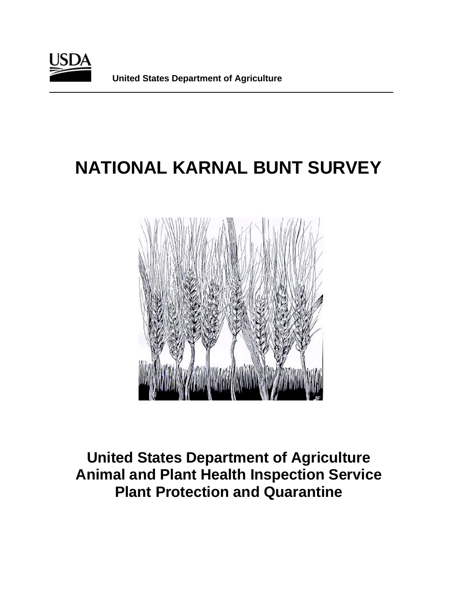

# **NATIONAL KARNAL BUNT SURVEY**



**United States Department of Agriculture Animal and Plant Health Inspection Service Plant Protection and Quarantine**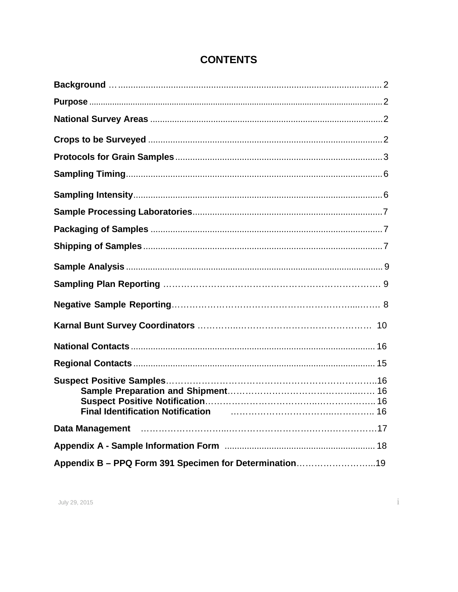| Final Identification Notification <b>Final Identification</b> 16 |
|------------------------------------------------------------------|
|                                                                  |
|                                                                  |
| Appendix B - PPQ Form 391 Specimen for Determination19           |

### **CONTENTS**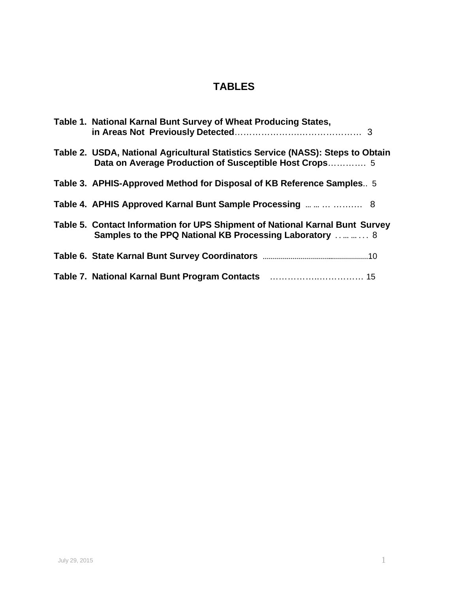### **TABLES**

<span id="page-2-0"></span>

| Table 1. National Karnal Bunt Survey of Wheat Producing States,                                                                           |
|-------------------------------------------------------------------------------------------------------------------------------------------|
| Table 2. USDA, National Agricultural Statistics Service (NASS): Steps to Obtain<br>Data on Average Production of Susceptible Host Crops 5 |
| Table 3. APHIS-Approved Method for Disposal of KB Reference Samples 5                                                                     |
| Table 4. APHIS Approved Karnal Bunt Sample Processing     8                                                                               |
| Table 5. Contact Information for UPS Shipment of National Karnal Bunt Survey<br>Samples to the PPQ National KB Processing Laboratory   8  |
|                                                                                                                                           |
|                                                                                                                                           |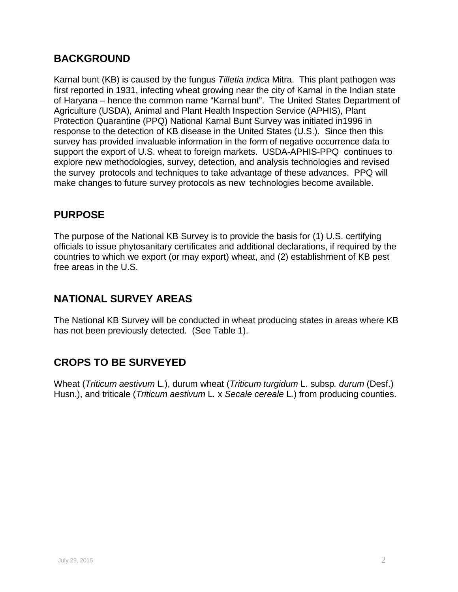### **BACKGROUND**

Karnal bunt (KB) is caused by the fungus *Tilletia indica* Mitra. This plant pathogen was first reported in 1931, infecting wheat growing near the city of Karnal in the Indian state of Haryana – hence the common name "Karnal bunt". The United States Department of Agriculture (USDA), Animal and Plant Health Inspection Service (APHIS), Plant Protection Quarantine (PPQ) National Karnal Bunt Survey was initiated in1996 in response to the detection of KB disease in the United States (U.S.). Since then this survey has provided invaluable information in the form of negative occurrence data to support the export of U.S. wheat to foreign markets. USDA-APHIS-PPQ continues to explore new methodologies, survey, detection, and analysis technologies and revised the survey protocols and techniques to take advantage of these advances. PPQ will make changes to future survey protocols as new technologies become available.

### <span id="page-3-0"></span>**PURPOSE**

The purpose of the National KB Survey is to provide the basis for (1) U.S. certifying officials to issue phytosanitary certificates and additional declarations, if required by the countries to which we export (or may export) wheat, and (2) establishment of KB pest free areas in the U.S.

### <span id="page-3-1"></span>**NATIONAL SURVEY AREAS**

The National KB Survey will be conducted in wheat producing states in areas where KB has not been previously detected. (See Table 1).

### <span id="page-3-2"></span>**CROPS TO BE SURVEYED**

Wheat (*Triticum aestivum* L*.*), durum wheat (*Triticum turgidum* L. subsp*. durum* (Desf.) Husn.), and triticale (*Triticum aestivum* L*.* x *Secale cereale* L*.*) from producing counties.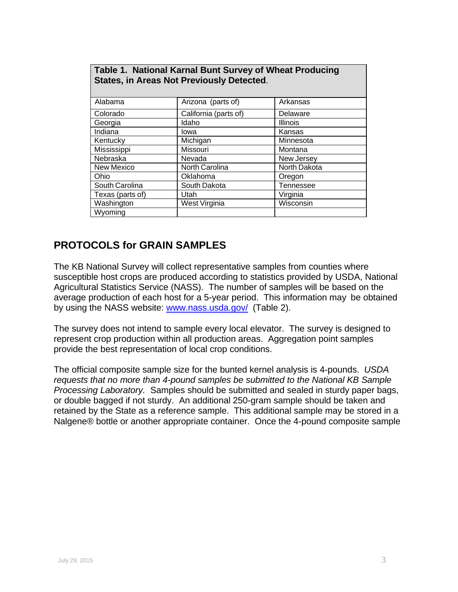| Table 1. National Karnal Bunt Survey of Wheat Producing<br><b>States, in Areas Not Previously Detected.</b> |                       |                 |  |  |  |  |  |  |
|-------------------------------------------------------------------------------------------------------------|-----------------------|-----------------|--|--|--|--|--|--|
| Alabama                                                                                                     | Arizona (parts of)    | Arkansas        |  |  |  |  |  |  |
| Colorado                                                                                                    | California (parts of) | Delaware        |  |  |  |  |  |  |
| Georgia                                                                                                     | Idaho                 | <b>Illinois</b> |  |  |  |  |  |  |
| Indiana                                                                                                     | lowa                  | Kansas          |  |  |  |  |  |  |
| Kentucky                                                                                                    | Michigan              | Minnesota       |  |  |  |  |  |  |
| Mississippi                                                                                                 | Missouri              | Montana         |  |  |  |  |  |  |
| Nebraska                                                                                                    | Nevada                | New Jersey      |  |  |  |  |  |  |
| New Mexico                                                                                                  | North Carolina        | North Dakota    |  |  |  |  |  |  |
| Ohio                                                                                                        | Oklahoma              | Oregon          |  |  |  |  |  |  |
| South Carolina                                                                                              | South Dakota          | Tennessee       |  |  |  |  |  |  |
| Texas (parts of)                                                                                            | Utah                  | Virginia        |  |  |  |  |  |  |
| Washington                                                                                                  | West Virginia         | Wisconsin       |  |  |  |  |  |  |
| Wyoming                                                                                                     |                       |                 |  |  |  |  |  |  |

### <span id="page-4-0"></span>**PROTOCOLS for GRAIN SAMPLES**

The KB National Survey will collect representative samples from counties where susceptible host crops are produced according to statistics provided by USDA, National Agricultural Statistics Service (NASS). The number of samples will be based on the average production of each host for a 5-year period. This information may be obtained by using the NASS website: [www.nass.usda.gov/](http://www.nass.usda.gov/) (Table 2).

The survey does not intend to sample every local elevator. The survey is designed to represent crop production within all production areas. Aggregation point samples provide the best representation of local crop conditions.

The official composite sample size for the bunted kernel analysis is 4-pounds. *USDA requests that no more than 4-pound samples be submitted to the National KB Sample Processing Laboratory.* Samples should be submitted and sealed in sturdy paper bags, or double bagged if not sturdy. An additional 250-gram sample should be taken and retained by the State as a reference sample. This additional sample may be stored in a Nalgene® bottle or another appropriate container. Once the 4-pound composite sample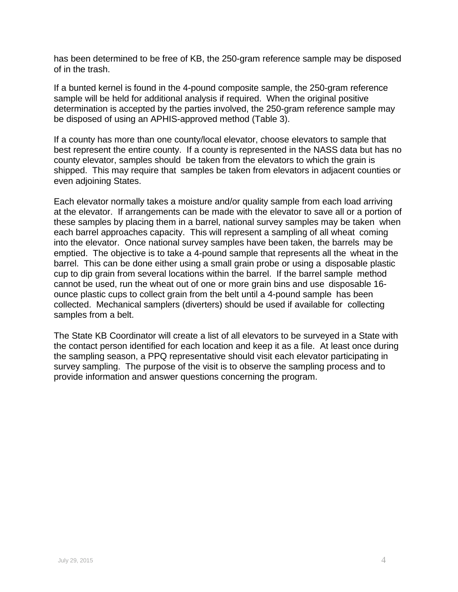has been determined to be free of KB, the 250-gram reference sample may be disposed of in the trash.

If a bunted kernel is found in the 4-pound composite sample, the 250-gram reference sample will be held for additional analysis if required. When the original positive determination is accepted by the parties involved, the 250-gram reference sample may be disposed of using an APHIS-approved method (Table 3).

If a county has more than one county/local elevator, choose elevators to sample that best represent the entire county. If a county is represented in the NASS data but has no county elevator, samples should be taken from the elevators to which the grain is shipped. This may require that samples be taken from elevators in adjacent counties or even adjoining States.

Each elevator normally takes a moisture and/or quality sample from each load arriving at the elevator. If arrangements can be made with the elevator to save all or a portion of these samples by placing them in a barrel, national survey samples may be taken when each barrel approaches capacity. This will represent a sampling of all wheat coming into the elevator. Once national survey samples have been taken, the barrels may be emptied. The objective is to take a 4-pound sample that represents all the wheat in the barrel. This can be done either using a small grain probe or using a disposable plastic cup to dip grain from several locations within the barrel. If the barrel sample method cannot be used, run the wheat out of one or more grain bins and use disposable 16 ounce plastic cups to collect grain from the belt until a 4-pound sample has been collected. Mechanical samplers (diverters) should be used if available for collecting samples from a belt.

The State KB Coordinator will create a list of all elevators to be surveyed in a State with the contact person identified for each location and keep it as a file. At least once during the sampling season, a PPQ representative should visit each elevator participating in survey sampling. The purpose of the visit is to observe the sampling process and to provide information and answer questions concerning the program.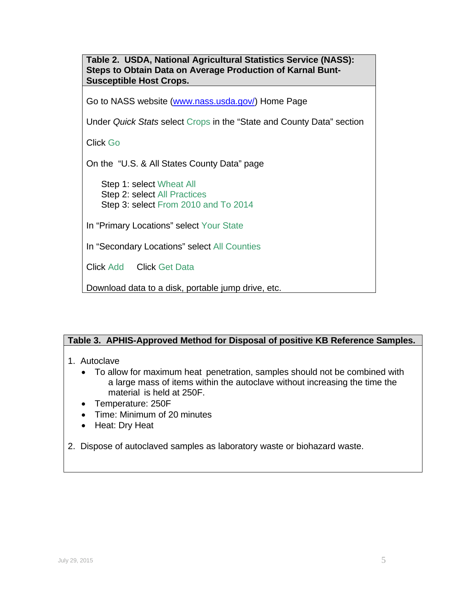**Table 2. USDA, National Agricultural Statistics Service (NASS): Steps to Obtain Data on Average Production of Karnal Bunt-Susceptible Host Crops.** Go to NASS website [\(www.nass.usda.gov/\)](http://www.nass.usda.gov/) Home Page Under *Quick Stats* select Crops in the "State and County Data" section Click Go On the "U.S. & All States County Data" page Step 1: select Wheat All Step 2: select All Practices Step 3: select From 2010 and To 2014 In "Primary Locations" select Your State In "Secondary Locations" select All Counties Click Add Click Get Data Download data to a disk, portable jump drive, etc.

### **Table 3. APHIS-Approved Method for Disposal of positive KB Reference Samples.**

- 1. Autoclave
	- To allow for maximum heat penetration, samples should not be combined with a large mass of items within the autoclave without increasing the time the material is held at 250F.
	- Temperature: 250F
	- Time: Minimum of 20 minutes
	- Heat: Dry Heat
- 2. Dispose of autoclaved samples as laboratory waste or biohazard waste.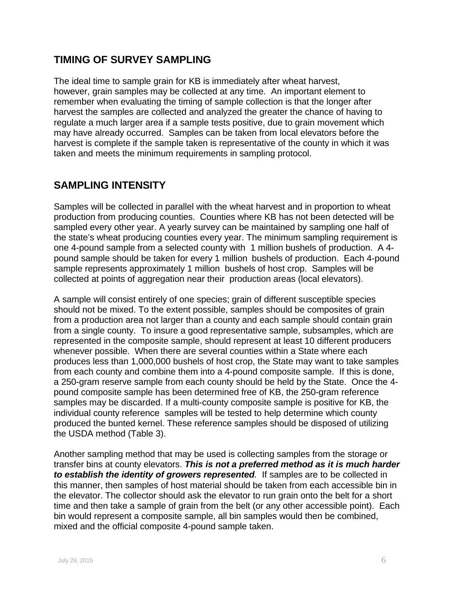### <span id="page-7-0"></span>**TIMING OF SURVEY SAMPLING**

The ideal time to sample grain for KB is immediately after wheat harvest, however, grain samples may be collected at any time. An important element to remember when evaluating the timing of sample collection is that the longer after harvest the samples are collected and analyzed the greater the chance of having to regulate a much larger area if a sample tests positive, due to grain movement which may have already occurred. Samples can be taken from local elevators before the harvest is complete if the sample taken is representative of the county in which it was taken and meets the minimum requirements in sampling protocol.

### <span id="page-7-1"></span>**SAMPLING INTENSITY**

Samples will be collected in parallel with the wheat harvest and in proportion to wheat production from producing counties. Counties where KB has not been detected will be sampled every other year. A yearly survey can be maintained by sampling one half of the state's wheat producing counties every year. The minimum sampling requirement is one 4-pound sample from a selected county with 1 million bushels of production. A 4 pound sample should be taken for every 1 million bushels of production. Each 4-pound sample represents approximately 1 million bushels of host crop. Samples will be collected at points of aggregation near their production areas (local elevators).

A sample will consist entirely of one species; grain of different susceptible species should not be mixed. To the extent possible, samples should be composites of grain from a production area not larger than a county and each sample should contain grain from a single county. To insure a good representative sample, subsamples, which are represented in the composite sample, should represent at least 10 different producers whenever possible. When there are several counties within a State where each produces less than 1,000,000 bushels of host crop, the State may want to take samples from each county and combine them into a 4-pound composite sample. If this is done, a 250-gram reserve sample from each county should be held by the State. Once the 4 pound composite sample has been determined free of KB, the 250-gram reference samples may be discarded. If a multi-county composite sample is positive for KB, the individual county reference samples will be tested to help determine which county produced the bunted kernel. These reference samples should be disposed of utilizing the USDA method (Table 3).

Another sampling method that may be used is collecting samples from the storage or transfer bins at county elevators. *This is not a preferred method as it is much harder to establish the identity of growers represented.* If samples are to be collected in this manner, then samples of host material should be taken from each accessible bin in the elevator. The collector should ask the elevator to run grain onto the belt for a short time and then take a sample of grain from the belt (or any other accessible point). Each bin would represent a composite sample, all bin samples would then be combined, mixed and the official composite 4-pound sample taken.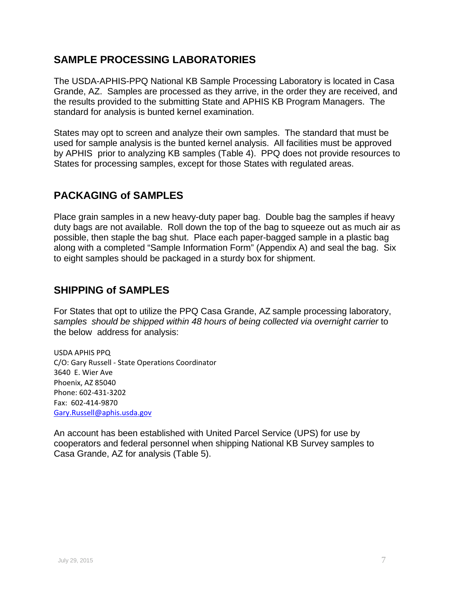### <span id="page-8-0"></span>**SAMPLE PROCESSING LABORATORIES**

The USDA-APHIS-PPQ National KB Sample Processing Laboratory is located in Casa Grande, AZ. Samples are processed as they arrive, in the order they are received, and the results provided to the submitting State and APHIS KB Program Managers. The standard for analysis is bunted kernel examination.

States may opt to screen and analyze their own samples. The standard that must be used for sample analysis is the bunted kernel analysis. All facilities must be approved by APHIS prior to analyzing KB samples (Table 4). PPQ does not provide resources to States for processing samples, except for those States with regulated areas.

### <span id="page-8-1"></span>**PACKAGING of SAMPLES**

Place grain samples in a new heavy-duty paper bag. Double bag the samples if heavy duty bags are not available. Roll down the top of the bag to squeeze out as much air as possible, then staple the bag shut. Place each paper-bagged sample in a plastic bag along with a completed "Sample Information Form" (Appendix A) and seal the bag. Six to eight samples should be packaged in a sturdy box for shipment.

### <span id="page-8-2"></span>**SHIPPING of SAMPLES**

For States that opt to utilize the PPQ Casa Grande, AZ sample processing laboratory, *samples should be shipped within 48 hours of being collected via overnight carrier* to the below address for analysis:

USDA APHIS PPQ C/O: Gary Russell - State Operations Coordinator 3640 E. Wier Ave Phoenix, AZ 85040 Phone: 602-431-3202 Fax: 602-414-9870 [Gary.Russell@aphis.usda.gov](mailto:Gary.Russell@aphis.usda.gov)

An account has been established with United Parcel Service (UPS) for use by cooperators and federal personnel when shipping National KB Survey samples to Casa Grande, AZ for analysis (Table 5).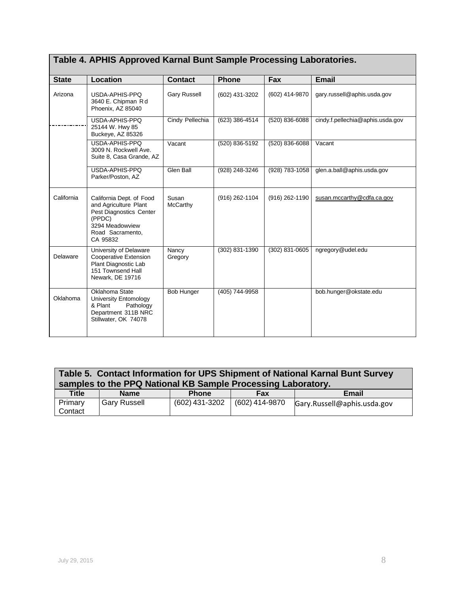| <b>State</b> | Location                                                                                                                                  | <b>Contact</b>      | <b>Phone</b>   | Fax            | <b>Email</b>                     |
|--------------|-------------------------------------------------------------------------------------------------------------------------------------------|---------------------|----------------|----------------|----------------------------------|
| Arizona      | USDA-APHIS-PPQ<br>3640 E. Chipman Rd<br>Phoenix, AZ 85040                                                                                 | <b>Gary Russell</b> | (602) 431-3202 | (602) 414-9870 | gary.russell@aphis.usda.gov      |
|              | USDA-APHIS-PPQ<br>25144 W. Hwy 85<br>Buckeye, AZ 85326                                                                                    | Cindy Pellechia     | (623) 386-4514 | (520) 836-6088 | cindy.f.pellechia@aphis.usda.gov |
|              | USDA-APHIS-PPQ<br>3009 N. Rockwell Ave.<br>Suite 8, Casa Grande, AZ                                                                       | Vacant              | (520) 836-5192 | (520) 836-6088 | Vacant                           |
|              | USDA-APHIS-PPQ<br>Parker/Poston, AZ                                                                                                       | Glen Ball           | (928) 248-3246 | (928) 783-1058 | glen.a.ball@aphis.usda.gov       |
| California   | California Dept. of Food<br>and Agriculture Plant<br>Pest Diagnostics Center<br>(PPDC)<br>3294 Meadowview<br>Road Sacramento,<br>CA 95832 | Susan<br>McCarthy   | (916) 262-1104 | (916) 262-1190 | susan.mccarthy@cdfa.ca.gov       |
| Delaware     | University of Delaware<br>Cooperative Extension<br>Plant Diagnostic Lab<br>151 Townsend Hall<br>Newark, DE 19716                          | Nancy<br>Gregory    | (302) 831-1390 | (302) 831-0605 | ngregory@udel.edu                |
| Oklahoma     | Oklahoma State<br>University Entomology<br>& Plant<br>Pathology<br>Department 311B NRC<br>Stillwater, OK 74078                            | <b>Bob Hunger</b>   | (405) 744-9958 |                | bob.hunger@okstate.edu           |

# **Table 4. APHIS Approved Karnal Bunt Sample Processing Laboratories.**

| Table 5. Contact Information for UPS Shipment of National Karnal Bunt Survey<br>samples to the PPQ National KB Sample Processing Laboratory. |                     |                |                |                             |  |  |  |
|----------------------------------------------------------------------------------------------------------------------------------------------|---------------------|----------------|----------------|-----------------------------|--|--|--|
| <b>Title</b>                                                                                                                                 | <b>Name</b>         | <b>Phone</b>   | Fax            | Email                       |  |  |  |
| Primary<br>Contact                                                                                                                           | <b>Gary Russell</b> | (602) 431-3202 | (602) 414-9870 | Gary.Russell@aphis.usda.gov |  |  |  |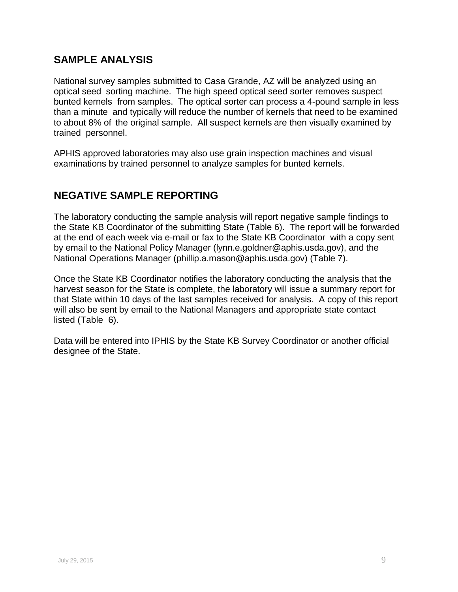### <span id="page-10-0"></span>**SAMPLE ANALYSIS**

National survey samples submitted to Casa Grande, AZ will be analyzed using an optical seed sorting machine. The high speed optical seed sorter removes suspect bunted kernels from samples. The optical sorter can process a 4-pound sample in less than a minute and typically will reduce the number of kernels that need to be examined to about 8% of the original sample. All suspect kernels are then visually examined by trained personnel.

APHIS approved laboratories may also use grain inspection machines and visual examinations by trained personnel to analyze samples for bunted kernels.

### **NEGATIVE SAMPLE REPORTING**

The laboratory conducting the sample analysis will report negative sample findings to the State KB Coordinator of the submitting State (Table 6). The report will be forwarded at the end of each week via e-mail or fax to the State KB Coordinator with a copy sent by email to the National Policy Manager [\(lynn.e.goldner@aphis.usda.gov\)](mailto:lynn.e.goldner@aphis.usda.gov), and the National Operations Manager (phillip.a.mason@aphis.usda.gov) (Table 7).

Once the State KB Coordinator notifies the laboratory conducting the analysis that the harvest season for the State is complete, the laboratory will issue a summary report for that State within 10 days of the last samples received for analysis. A copy of this report will also be sent by email to the National Managers and appropriate state contact listed (Table 6).

Data will be entered into IPHIS by the State KB Survey Coordinator or another official designee of the State.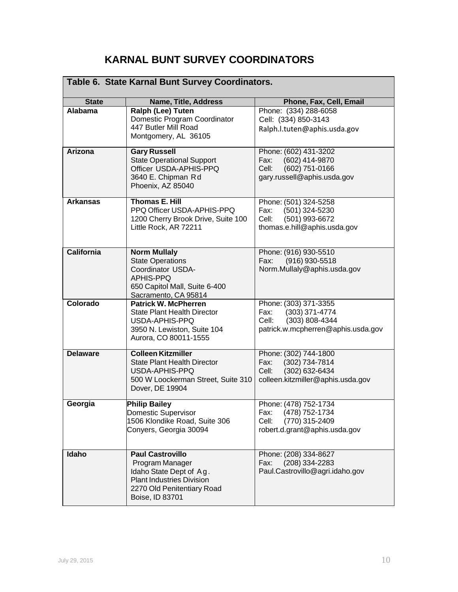### **KARNAL BUNT SURVEY COORDINATORS**

| Table 6. State Karnal Bunt Survey Coordinators.                                                                                                                |                                                                                                                                                            |                                                                                                                    |  |  |  |  |  |
|----------------------------------------------------------------------------------------------------------------------------------------------------------------|------------------------------------------------------------------------------------------------------------------------------------------------------------|--------------------------------------------------------------------------------------------------------------------|--|--|--|--|--|
| <b>State</b>                                                                                                                                                   | Name, Title, Address                                                                                                                                       | Phone, Fax, Cell, Email                                                                                            |  |  |  |  |  |
| <b>Alabama</b>                                                                                                                                                 | Ralph (Lee) Tuten<br>Domestic Program Coordinator<br>447 Butler Mill Road<br>Montgomery, AL 36105                                                          | Phone: (334) 288-6058<br>Cell: (334) 850-3143<br>Ralph.l.tuten@aphis.usda.gov                                      |  |  |  |  |  |
| <b>Arizona</b>                                                                                                                                                 | <b>Gary Russell</b><br><b>State Operational Support</b><br>Officer USDA-APHIS-PPQ<br>3640 E. Chipman Rd<br>Phoenix, AZ 85040                               | Phone: (602) 431-3202<br>(602) 414-9870<br>Fax:<br>(602) 751-0166<br>Cell:<br>gary.russell@aphis.usda.gov          |  |  |  |  |  |
| <b>Thomas E. Hill</b><br><b>Arkansas</b><br>PPQ Officer USDA-APHIS-PPQ<br>1200 Cherry Brook Drive, Suite 100<br>Little Rock, AR 72211                          |                                                                                                                                                            | Phone: (501) 324-5258<br>Fax:<br>(501) 324-5230<br>(501) 993-6672<br>Cell:<br>thomas.e.hill@aphis.usda.gov         |  |  |  |  |  |
| <b>California</b><br><b>Norm Mullaly</b><br><b>State Operations</b><br>Coordinator USDA-<br>APHIS-PPQ<br>650 Capitol Mall, Suite 6-400<br>Sacramento, CA 95814 |                                                                                                                                                            | Phone: (916) 930-5510<br>$(916)$ 930-5518<br>Fax:<br>Norm.Mullaly@aphis.usda.gov                                   |  |  |  |  |  |
| Colorado<br><b>Patrick W. McPherren</b><br><b>State Plant Health Director</b><br>USDA-APHIS-PPQ<br>3950 N. Lewiston, Suite 104<br>Aurora, CO 80011-1555        |                                                                                                                                                            | Phone: (303) 371-3355<br>$(303)$ 371-4774<br>Fax:<br>(303) 808-4344<br>Cell:<br>patrick.w.mcpherren@aphis.usda.gov |  |  |  |  |  |
| <b>Delaware</b>                                                                                                                                                | <b>Colleen Kitzmiller</b><br><b>State Plant Health Director</b><br>USDA-APHIS-PPQ<br>500 W Loockerman Street, Suite 310<br>Dover, DE 19904                 | Phone: (302) 744-1800<br>Fax:<br>(302) 734-7814<br>Cell:<br>(302) 632-6434<br>colleen.kitzmiller@aphis.usda.gov    |  |  |  |  |  |
| <b>Philip Bailey</b><br>Georgia<br><b>Domestic Supervisor</b><br>1506 Klondike Road, Suite 306<br>Conyers, Georgia 30094                                       |                                                                                                                                                            | Phone: (478) 752-1734<br>Fax:<br>(478) 752-1734<br>(770) 315-2409<br>Cell:<br>robert.d.grant@aphis.usda.gov        |  |  |  |  |  |
| Idaho                                                                                                                                                          | <b>Paul Castrovillo</b><br>Program Manager<br>Idaho State Dept of Ag.<br><b>Plant Industries Division</b><br>2270 Old Penitentiary Road<br>Boise, ID 83701 | Phone: (208) 334-8627<br>Fax:<br>$(208)$ 334-2283<br>Paul.Castrovillo@agri.idaho.gov                               |  |  |  |  |  |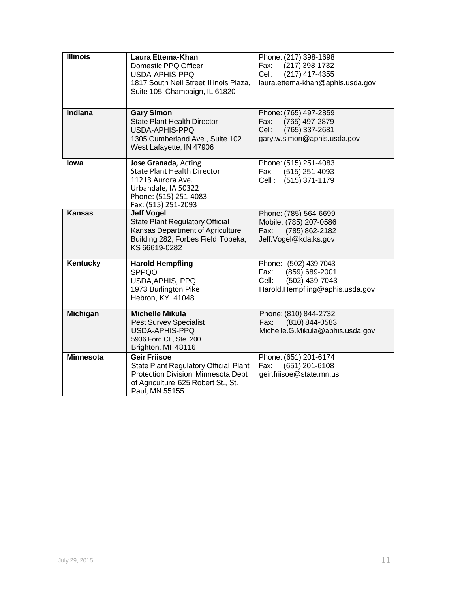| <b>Illinois</b>                                                                                                                                                         | Laura Ettema-Khan<br>Domestic PPQ Officer<br>USDA-APHIS-PPQ<br>1817 South Neil Street Illinois Plaza,<br>Suite 105 Champaign, IL 61820                     | Phone: (217) 398-1698<br>Fax:<br>(217) 398-1732<br>Cell:<br>(217) 417-4355<br>laura.ettema-khan@aphis.usda.gov |  |  |  |  |
|-------------------------------------------------------------------------------------------------------------------------------------------------------------------------|------------------------------------------------------------------------------------------------------------------------------------------------------------|----------------------------------------------------------------------------------------------------------------|--|--|--|--|
| Indiana                                                                                                                                                                 | <b>Gary Simon</b><br><b>State Plant Health Director</b><br>USDA-APHIS-PPQ<br>1305 Cumberland Ave., Suite 102<br>West Lafayette, IN 47906                   | Phone: (765) 497-2859<br>Fax:<br>(765) 497-2879<br>Cell:<br>(765) 337-2681<br>gary.w.simon@aphis.usda.gov      |  |  |  |  |
| lowa                                                                                                                                                                    | Jose Granada, Acting<br><b>State Plant Health Director</b><br>11213 Aurora Ave.<br>Urbandale, IA 50322<br>Phone: (515) 251-4083<br>Fax: (515) 251-2093     | Phone: (515) 251-4083<br>Fax:<br>$(515)$ 251-4093<br>Cell :<br>(515) 371-1179                                  |  |  |  |  |
| <b>Kansas</b><br><b>Jeff Vogel</b><br><b>State Plant Regulatory Official</b><br>Kansas Department of Agriculture<br>Building 282, Forbes Field Topeka,<br>KS 66619-0282 |                                                                                                                                                            | Phone: (785) 564-6699<br>Mobile: (785) 207-0586<br>(785) 862-2182<br>Fax:<br>Jeff.Vogel@kda.ks.gov             |  |  |  |  |
| Kentucky<br><b>Harold Hempfling</b><br><b>SPPQO</b><br>USDA, APHIS, PPQ<br>1973 Burlington Pike<br>Hebron, KY 41048                                                     |                                                                                                                                                            | Phone: (502) 439-7043<br>(859) 689-2001<br>Fax:<br>(502) 439-7043<br>Cell:<br>Harold.Hempfling@aphis.usda.gov  |  |  |  |  |
| <b>Michigan</b><br><b>Michelle Mikula</b><br><b>Pest Survey Specialist</b><br>USDA-APHIS-PPQ<br>5936 Ford Ct., Ste. 200<br>Brighton, MI 48116                           |                                                                                                                                                            | Phone: (810) 844-2732<br>(810) 844-0583<br>Fax:<br>Michelle.G.Mikula@aphis.usda.gov                            |  |  |  |  |
| <b>Minnesota</b>                                                                                                                                                        | <b>Geir Friisoe</b><br>State Plant Regulatory Official Plant<br>Protection Division Minnesota Dept<br>of Agriculture 625 Robert St., St.<br>Paul, MN 55155 | Phone: (651) 201-6174<br>$(651)$ 201-6108<br>Fax:<br>geir.friisoe@state.mn.us                                  |  |  |  |  |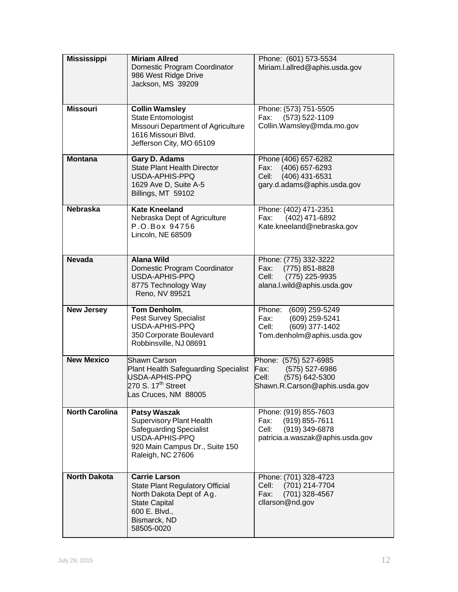| <b>Mississippi</b>                                                                                                                                                                         | <b>Miriam Allred</b><br>Domestic Program Coordinator<br>986 West Ridge Drive<br>Jackson, MS 39209                                           | Phone: (601) 573-5534<br>Miriam.l.allred@aphis.usda.gov                                                        |  |  |  |  |
|--------------------------------------------------------------------------------------------------------------------------------------------------------------------------------------------|---------------------------------------------------------------------------------------------------------------------------------------------|----------------------------------------------------------------------------------------------------------------|--|--|--|--|
| <b>Missouri</b>                                                                                                                                                                            | <b>Collin Wamsley</b><br><b>State Entomologist</b><br>Missouri Department of Agriculture<br>1616 Missouri Blvd.<br>Jefferson City, MO 65109 | Phone: (573) 751-5505<br>(573) 522-1109<br>Fax:<br>Collin. Wamsley@mda.mo.gov                                  |  |  |  |  |
| Gary D. Adams<br><b>Montana</b><br><b>State Plant Health Director</b><br>USDA-APHIS-PPQ<br>1629 Ave D, Suite A-5<br>Billings, MT 59102                                                     |                                                                                                                                             | Phone (406) 657-6282<br>(406) 657-6293<br>Fax:<br>(406) 431-6531<br>Cell:<br>gary.d.adams@aphis.usda.gov       |  |  |  |  |
| <b>Nebraska</b><br><b>Kate Kneeland</b><br>Nebraska Dept of Agriculture<br>P.O.Box 94756<br>Lincoln, NE 68509                                                                              |                                                                                                                                             | Phone: (402) 471-2351<br>(402) 471-6892<br>Fax:<br>Kate.kneeland@nebraska.gov                                  |  |  |  |  |
| <b>Nevada</b>                                                                                                                                                                              | <b>Alana Wild</b><br>Domestic Program Coordinator<br>USDA-APHIS-PPQ<br>8775 Technology Way<br>Reno, NV 89521                                | Phone: (775) 332-3222<br>Fax:<br>(775) 851-8828<br>(775) 225-9935<br>Cell:<br>alana.l.wild@aphis.usda.gov      |  |  |  |  |
| <b>New Jersey</b><br>Tom Denholm,<br><b>Pest Survey Specialist</b><br>USDA-APHIS-PPQ<br>350 Corporate Boulevard<br>Robbinsville, NJ 08691                                                  |                                                                                                                                             | Phone:<br>(609) 259-5249<br>Fax:<br>(609) 259-5241<br>(609) 377-1402<br>Cell:<br>Tom.denholm@aphis.usda.gov    |  |  |  |  |
| <b>New Mexico</b><br><b>Shawn Carson</b><br><b>Plant Health Safeguarding Specialist</b><br>USDA-APHIS-PPQ<br>270 S. 17 $th$ Street<br>Las Cruces, NM 88005                                 |                                                                                                                                             | Phone: (575) 527-6985<br>Fax:<br>(575) 527-6986<br>(575) 642-5300<br>Cell:<br>Shawn.R.Carson@aphis.usda.gov    |  |  |  |  |
| <b>North Carolina</b><br><b>Patsy Waszak</b><br><b>Supervisory Plant Health</b><br><b>Safeguarding Specialist</b><br>USDA-APHIS-PPQ<br>920 Main Campus Dr., Suite 150<br>Raleigh, NC 27606 |                                                                                                                                             | Phone: (919) 855-7603<br>(919) 855-7611<br>Fax:<br>(919) 349-6878<br>Cell:<br>patricia.a.waszak@aphis.usda.gov |  |  |  |  |
| <b>North Dakota</b><br><b>Carrie Larson</b><br><b>State Plant Regulatory Official</b><br>North Dakota Dept of Ag.<br><b>State Capital</b><br>600 E. Blvd.,<br>Bismarck, ND<br>58505-0020   |                                                                                                                                             | Phone: (701) 328-4723<br>(701) 214-7704<br>Cell:<br>(701) 328-4567<br>Fax:<br>cllarson@nd.gov                  |  |  |  |  |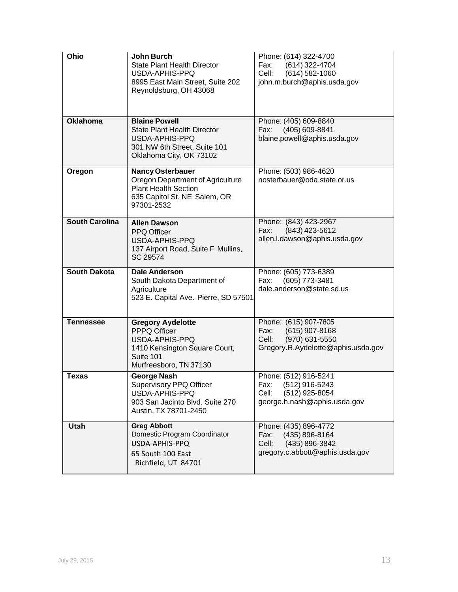| Ohio                                                                                                                                               | <b>John Burch</b><br><b>State Plant Health Director</b><br>USDA-APHIS-PPQ<br>8995 East Main Street, Suite 202<br>Reynoldsburg, OH 43068 | Phone: (614) 322-4700<br>(614) 322-4704<br>Fax:<br>Cell:<br>$(614) 582 - 1060$<br>john.m.burch@aphis.usda.gov      |  |  |  |  |
|----------------------------------------------------------------------------------------------------------------------------------------------------|-----------------------------------------------------------------------------------------------------------------------------------------|--------------------------------------------------------------------------------------------------------------------|--|--|--|--|
| <b>Oklahoma</b>                                                                                                                                    | <b>Blaine Powell</b><br><b>State Plant Health Director</b><br>USDA-APHIS-PPQ<br>301 NW 6th Street, Suite 101<br>Oklahoma City, OK 73102 | Phone: (405) 609-8840<br>(405) 609-8841<br>Fax:<br>blaine.powell@aphis.usda.gov                                    |  |  |  |  |
| Oregon<br><b>Nancy Osterbauer</b><br>Oregon Department of Agriculture<br><b>Plant Health Section</b><br>635 Capitol St. NE Salem, OR<br>97301-2532 |                                                                                                                                         | Phone: (503) 986-4620<br>nosterbauer@oda.state.or.us                                                               |  |  |  |  |
| <b>South Carolina</b><br><b>Allen Dawson</b><br>PPQ Officer<br>USDA-APHIS-PPQ<br>137 Airport Road, Suite F Mullins,<br>SC 29574                    |                                                                                                                                         | Phone: (843) 423-2967<br>(843) 423-5612<br>Fax:<br>allen.l.dawson@aphis.usda.gov                                   |  |  |  |  |
| <b>South Dakota</b>                                                                                                                                | <b>Dale Anderson</b><br>South Dakota Department of<br>Agriculture<br>523 E. Capital Ave. Pierre, SD 57501                               | Phone: (605) 773-6389<br>Fax:<br>(605) 773-3481<br>dale.anderson@state.sd.us                                       |  |  |  |  |
| <b>Tennessee</b>                                                                                                                                   | <b>Gregory Aydelotte</b><br>PPPQ Officer<br>USDA-APHIS-PPQ<br>1410 Kensington Square Court,<br>Suite 101<br>Murfreesboro, TN 37130      | Phone: (615) 907-7805<br>$(615)$ 907-8168<br>Fax:<br>(970) 631-5550<br>Cell:<br>Gregory.R.Aydelotte@aphis.usda.gov |  |  |  |  |
| <b>Texas</b><br><b>George Nash</b><br><b>Supervisory PPQ Officer</b><br>USDA-APHIS-PPQ<br>903 San Jacinto Blvd. Suite 270<br>Austin, TX 78701-2450 |                                                                                                                                         | Phone: (512) 916-5241<br>Fax: (512) 916-5243                                                                       |  |  |  |  |
| Utah                                                                                                                                               | <b>Greg Abbott</b>                                                                                                                      | (512) 925-8054<br>Cell:<br>george.h.nash@aphis.usda.gov<br>Phone: (435) 896-4772                                   |  |  |  |  |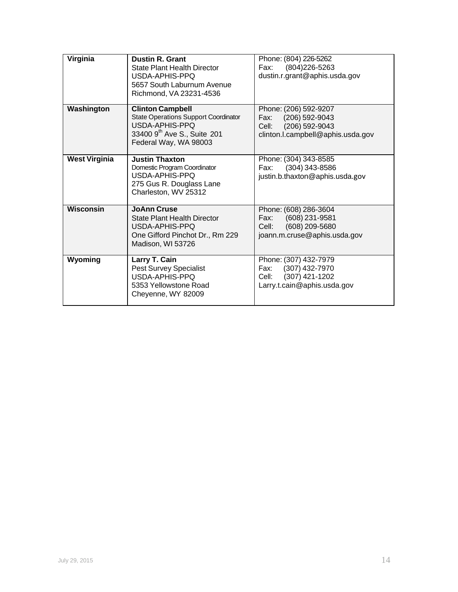| Virginia                                                                                                                                                       | <b>Dustin R. Grant</b><br><b>State Plant Health Director</b><br>USDA-APHIS-PPQ<br>5657 South Laburnum Avenue<br>Richmond, VA 23231-4536 | Phone: (804) 226-5262<br>Fax:<br>(804) 226-5263<br>dustin.r.grant@aphis.usda.gov                                    |
|----------------------------------------------------------------------------------------------------------------------------------------------------------------|-----------------------------------------------------------------------------------------------------------------------------------------|---------------------------------------------------------------------------------------------------------------------|
| Washington<br><b>Clinton Campbell</b><br><b>State Operations Support Coordinator</b><br>USDA-APHIS-PPO<br>33400 9th Ave S., Suite 201<br>Federal Way, WA 98003 |                                                                                                                                         | Phone: (206) 592-9207<br>Fax:<br>$(206)$ 592-9043<br>$(206)$ 592-9043<br>Cell:<br>clinton.l.campbell@aphis.usda.gov |
| <b>West Virginia</b>                                                                                                                                           | <b>Justin Thaxton</b><br>Domestic Program Coordinator<br>USDA-APHIS-PPQ<br>275 Gus R. Douglass Lane<br>Charleston, WV 25312             | Phone: (304) 343-8585<br>$(304)$ 343-8586<br>Fax:<br>justin.b.thaxton@aphis.usda.gov                                |
| Wisconsin                                                                                                                                                      | <b>JoAnn Cruse</b><br><b>State Plant Health Director</b><br>USDA-APHIS-PPQ<br>One Gifford Pinchot Dr., Rm 229<br>Madison, WI 53726      | Phone: (608) 286-3604<br>(608) 231-9581<br>Fax:<br>(608) 209-5680<br>Cell:<br>joann.m.cruse@aphis.usda.gov          |
| Wyoming                                                                                                                                                        | Larry T. Cain<br>Pest Survey Specialist<br>USDA-APHIS-PPQ<br>5353 Yellowstone Road<br>Cheyenne, WY 82009                                | Phone: (307) 432-7979<br>(307) 432-7970<br>Fax:<br>$(307)$ 421-1202<br>Cell:<br>Larry.t.cain@aphis.usda.gov         |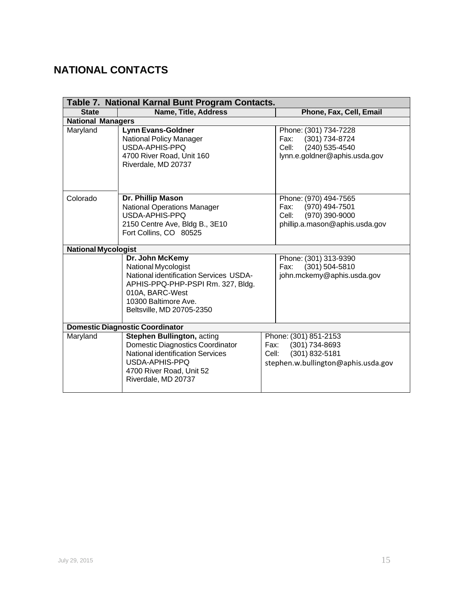## <span id="page-16-0"></span>**NATIONAL CONTACTS**

|                                                                                                                                                                                                      | Table 7. National Karnal Bunt Program Contacts.                                                                                   |                                                                                                                     |
|------------------------------------------------------------------------------------------------------------------------------------------------------------------------------------------------------|-----------------------------------------------------------------------------------------------------------------------------------|---------------------------------------------------------------------------------------------------------------------|
| <b>State</b>                                                                                                                                                                                         | <b>Name, Title, Address</b>                                                                                                       | Phone, Fax, Cell, Email                                                                                             |
| <b>National Managers</b>                                                                                                                                                                             |                                                                                                                                   |                                                                                                                     |
| Maryland                                                                                                                                                                                             | <b>Lynn Evans-Goldner</b><br><b>National Policy Manager</b><br>USDA-APHIS-PPQ<br>4700 River Road, Unit 160<br>Riverdale, MD 20737 | Phone: (301) 734-7228<br>(301) 734-8724<br>Fax:<br>(240) 535-4540<br>Cell:<br>lynn.e.goldner@aphis.usda.gov         |
| Dr. Phillip Mason<br>Colorado<br><b>National Operations Manager</b><br>USDA-APHIS-PPQ<br>2150 Centre Ave, Bldg B., 3E10<br>Fort Collins, CO 80525                                                    |                                                                                                                                   | Phone: (970) 494-7565<br>(970) 494-7501<br>Fax:<br>(970) 390-9000<br>Cell:<br>phillip.a.mason@aphis.usda.gov        |
| <b>National Mycologist</b>                                                                                                                                                                           |                                                                                                                                   |                                                                                                                     |
| Dr. John McKemy<br>National Mycologist<br><b>National identification Services USDA-</b><br>APHIS-PPQ-PHP-PSPI Rm. 327, Bldg.<br>010A, BARC-West<br>10300 Baltimore Ave.<br>Beltsville, MD 20705-2350 |                                                                                                                                   | Phone: (301) 313-9390<br>$(301)$ 504-5810<br>Fax:<br>john.mckemy@aphis.usda.gov                                     |
|                                                                                                                                                                                                      | <b>Domestic Diagnostic Coordinator</b>                                                                                            |                                                                                                                     |
| <b>Stephen Bullington, acting</b><br>Maryland<br>Domestic Diagnostics Coordinator<br><b>National identification Services</b><br>USDA-APHIS-PPQ<br>4700 River Road, Unit 52<br>Riverdale, MD 20737    |                                                                                                                                   | Phone: (301) 851-2153<br>$(301)$ 734-8693<br>Fax:<br>(301) 832-5181<br>Cell:<br>stephen.w.bullington@aphis.usda.gov |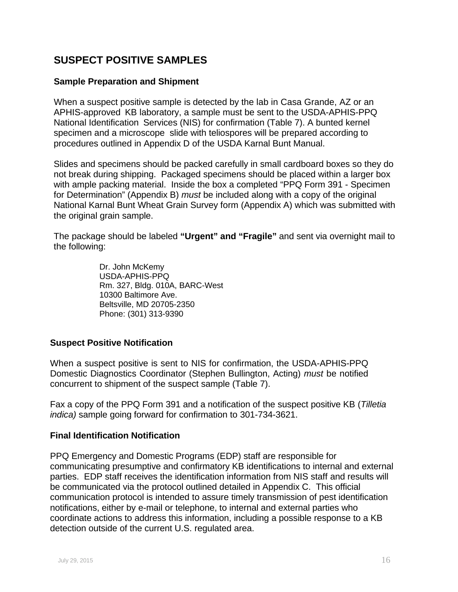### **SUSPECT POSITIVE SAMPLES**

#### **Sample Preparation and Shipment**

When a suspect positive sample is detected by the lab in Casa Grande, AZ or an APHIS-approved KB laboratory, a sample must be sent to the USDA-APHIS-PPQ National Identification Services (NIS) for confirmation (Table 7). A bunted kernel specimen and a microscope slide with teliospores will be prepared according to procedures outlined in Appendix D of the USDA Karnal Bunt Manual.

Slides and specimens should be packed carefully in small cardboard boxes so they do not break during shipping. Packaged specimens should be placed within a larger box with ample packing material. Inside the box a completed "PPQ Form 391 - Specimen for Determination" (Appendix B) *must* be included along with a copy of the original National Karnal Bunt Wheat Grain Survey form (Appendix A) which was submitted with the original grain sample.

The package should be labeled **"Urgent" and "Fragile"** and sent via overnight mail to the following:

> Dr. John McKemy USDA-APHIS-PPQ Rm. 327, Bldg. 010A, BARC-West 10300 Baltimore Ave. Beltsville, MD 20705-2350 Phone: (301) 313-9390

### **Suspect Positive Notification**

When a suspect positive is sent to NIS for confirmation, the USDA-APHIS-PPQ Domestic Diagnostics Coordinator (Stephen Bullington, Acting) *must* be notified concurrent to shipment of the suspect sample (Table 7).

Fax a copy of the PPQ Form 391 and a notification of the suspect positive KB (*Tilletia indica)* sample going forward for confirmation to 301-734-3621.

#### **Final Identification Notification**

PPQ Emergency and Domestic Programs (EDP) staff are responsible for communicating presumptive and confirmatory KB identifications to internal and external parties. EDP staff receives the identification information from NIS staff and results will be communicated via the protocol outlined detailed in Appendix C. This official communication protocol is intended to assure timely transmission of pest identification notifications, either by e-mail or telephone, to internal and external parties who coordinate actions to address this information, including a possible response to a KB detection outside of the current U.S. regulated area.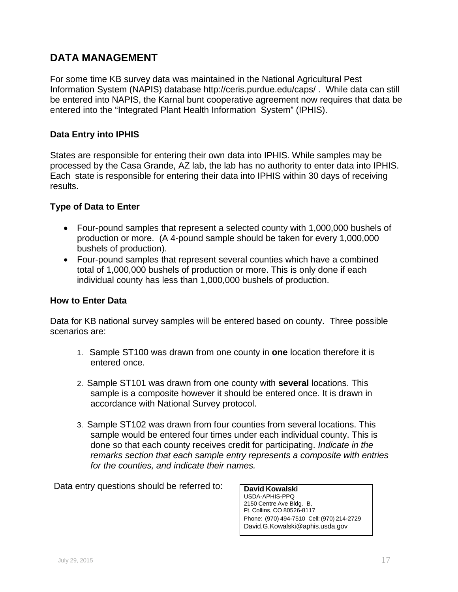### **DATA MANAGEMENT**

For some time KB survey data was maintained in the National Agricultural Pest Information System (NAPIS) database http://ceris.purdue.edu/caps/ . While data can still be entered into NAPIS, the Karnal bunt cooperative agreement now requires that data be entered into the "Integrated Plant Health Information System" (IPHIS).

### **Data Entry into IPHIS**

States are responsible for entering their own data into IPHIS. While samples may be processed by the Casa Grande, AZ lab, the lab has no authority to enter data into IPHIS. Each state is responsible for entering their data into IPHIS within 30 days of receiving results.

### **Type of Data to Enter**

- Four-pound samples that represent a selected county with 1,000,000 bushels of production or more. (A 4-pound sample should be taken for every 1,000,000 bushels of production).
- Four-pound samples that represent several counties which have a combined total of 1,000,000 bushels of production or more. This is only done if each individual county has less than 1,000,000 bushels of production.

#### **How to Enter Data**

Data for KB national survey samples will be entered based on county. Three possible scenarios are:

- 1. Sample ST100 was drawn from one county in **one** location therefore it is entered once.
- 2. Sample ST101 was drawn from one county with **several** locations. This sample is a composite however it should be entered once. It is drawn in accordance with National Survey protocol.
- 3. Sample ST102 was drawn from four counties from several locations. This sample would be entered four times under each individual county. This is done so that each county receives credit for participating. *Indicate in the remarks section that each sample entry represents a composite with entries for the counties, and indicate their names.*

Data entry questions should be referred to: **David Kowalski** 

USDA-APHIS-PPQ 2150 Centre Ave Bldg. B, Ft. Collins, CO 80526-8117 Phone: (970) 494-7510 Cell: (970) 214-2729 [David.G.Kowalski@aphis.usda.gov](mailto:David.G.Kowalski@aphis.usda.gov)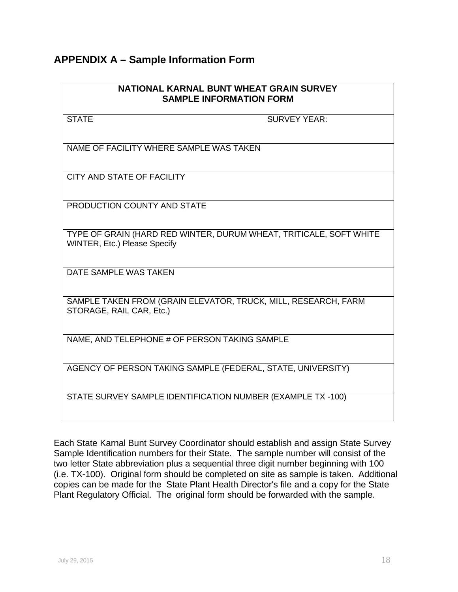### <span id="page-19-0"></span>**APPENDIX A – Sample Information Form**

### **NATIONAL KARNAL BUNT WHEAT GRAIN SURVEY SAMPLE INFORMATION FORM**

STATE SURVEY YEAR:

NAME OF FACILITY WHERE SAMPLE WAS TAKEN

CITY AND STATE OF FACILITY

PRODUCTION COUNTY AND STATE

TYPE OF GRAIN (HARD RED WINTER, DURUM WHEAT, TRITICALE, SOFT WHITE WINTER, Etc.) Please Specify

DATE SAMPLE WAS TAKEN

SAMPLE TAKEN FROM (GRAIN ELEVATOR, TRUCK, MILL, RESEARCH, FARM STORAGE, RAIL CAR, Etc.)

NAME, AND TELEPHONE # OF PERSON TAKING SAMPLE

AGENCY OF PERSON TAKING SAMPLE (FEDERAL, STATE, UNIVERSITY)

STATE SURVEY SAMPLE IDENTIFICATION NUMBER (EXAMPLE TX -100)

Each State Karnal Bunt Survey Coordinator should establish and assign State Survey Sample Identification numbers for their State. The sample number will consist of the two letter State abbreviation plus a sequential three digit number beginning with 100 (i.e. TX-100). Original form should be completed on site as sample is taken. Additional copies can be made for the State Plant Health Director's file and a copy for the State Plant Regulatory Official. The original form should be forwarded with the sample.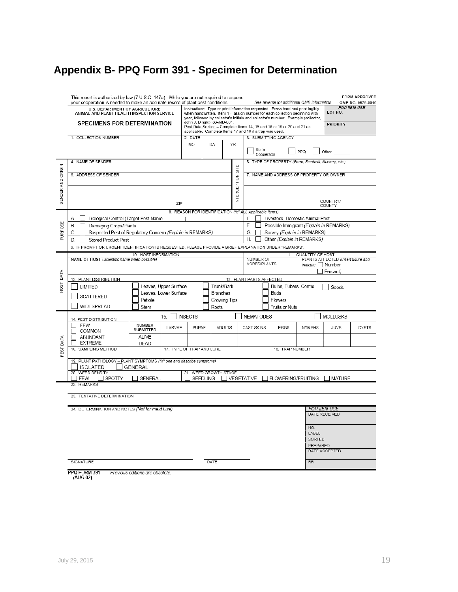# **Appendix B- PPQ Form 391 - Specimen for Determination**

|                   | This report is authorized by law (7 U.S.C. 147a). While you are not required to respond<br>your cooperation is needed to make an accurate record of plant pest conditions.<br>U.S. DEPARTMENT OF AGRICULTURE<br>ANIMAL AND PLANT HEALTH INSPECTION SERVICE<br><b>SPECIMENS FOR DETERMINATION</b> | John J. Dingle): 83-JJD-001.                                        |        |                  |                   |                                                                                                |                          | Instructions: Type or print information requested. Press hard and print legibly<br>when handwritten. Item 1 - assign number for each collection beginning with<br>year, followed by collector's initials and collector's number. Example (collector, | See reverse for additional OMB information.               | LOT NO.<br><b>PRIORITY</b> | FORM APPROVED<br>OMB NO. 0579-0010<br><b>FOR IIBIII USE</b> |
|-------------------|--------------------------------------------------------------------------------------------------------------------------------------------------------------------------------------------------------------------------------------------------------------------------------------------------|---------------------------------------------------------------------|--------|------------------|-------------------|------------------------------------------------------------------------------------------------|--------------------------|------------------------------------------------------------------------------------------------------------------------------------------------------------------------------------------------------------------------------------------------------|-----------------------------------------------------------|----------------------------|-------------------------------------------------------------|
|                   | 1. COLLECTION NUMBER                                                                                                                                                                                                                                                                             | applicable. Complete Items 17 and 18 if a trap was used.<br>2. DATE |        |                  |                   | Pest Data Section - Complete Items 14, 15 and 16 or 19 or 20 and 21 as<br>3. SUBMITTING AGENCY |                          |                                                                                                                                                                                                                                                      |                                                           |                            |                                                             |
|                   |                                                                                                                                                                                                                                                                                                  | MO                                                                  | DA     | YR               |                   | State                                                                                          | Cooperator               |                                                                                                                                                                                                                                                      | PPQ                                                       | Other                      |                                                             |
|                   | 4. NAME OF SENDER                                                                                                                                                                                                                                                                                |                                                                     |        |                  |                   | 5. TYPE OF PROPERTY (Farm, Feedmill, Nursery, etc.)                                            |                          |                                                                                                                                                                                                                                                      |                                                           |                            |                                                             |
|                   | 6. ADDRESS OF SENDER                                                                                                                                                                                                                                                                             |                                                                     |        |                  |                   | 7. NAME AND ADDRESS OF PROPERTY OR OWNER                                                       |                          |                                                                                                                                                                                                                                                      |                                                           |                            |                                                             |
| SENDER AND ORIGIN | ZIP                                                                                                                                                                                                                                                                                              |                                                                     |        | NTERCEPTION SITE |                   |                                                                                                |                          |                                                                                                                                                                                                                                                      |                                                           | COUNTRY/                   |                                                             |
|                   |                                                                                                                                                                                                                                                                                                  | 8. REASON FOR IDENTIFICATION ("x" ALL Applicable Items)             |        |                  |                   |                                                                                                |                          |                                                                                                                                                                                                                                                      |                                                           | COUNTY                     |                                                             |
|                   | Biological Control (Target Pest Name<br>А.                                                                                                                                                                                                                                                       |                                                                     |        |                  | Е.                |                                                                                                |                          |                                                                                                                                                                                                                                                      | Livestock, Domestic Animal Pest                           |                            |                                                             |
|                   | Β.<br>Damaging Crops/Plants                                                                                                                                                                                                                                                                      |                                                                     |        |                  | F.                |                                                                                                |                          |                                                                                                                                                                                                                                                      | Possible Immigrant (Explain in REMARKS)                   |                            |                                                             |
| PURPOSE           | Suspected Pest of Regulatory Concern (Explain in REMARKS)<br>C.                                                                                                                                                                                                                                  |                                                                     |        |                  | G.<br>Η.          |                                                                                                |                          |                                                                                                                                                                                                                                                      | Survey (Explain in REMARKS)<br>Other (Explain in REMARKS) |                            |                                                             |
|                   | D.<br><b>Stored Product Pest</b><br>9. IF PROMPT OR URGENT IDENTIFICATION IS REQUESTED, PLEASE PROVIDE A BRIEF EXPLANATION UNDER "REMARKS".                                                                                                                                                      |                                                                     |        |                  |                   |                                                                                                |                          |                                                                                                                                                                                                                                                      |                                                           |                            |                                                             |
| DATA              | 11. QUANTITY OF HOST<br>10. HOST INFORMATION<br>NAME OF HOST (Scientific name when possible)<br>PLANTS AFFECTED (Insert figure and<br>NUMBER OF<br>ACRES/PLANTS<br>indicate Number<br>Percent):                                                                                                  |                                                                     |        |                  |                   |                                                                                                |                          |                                                                                                                                                                                                                                                      |                                                           |                            |                                                             |
|                   | 12. PLANT DISTRIBUTION                                                                                                                                                                                                                                                                           |                                                                     |        |                  |                   |                                                                                                | 13. PLANT PARTS AFFECTED |                                                                                                                                                                                                                                                      |                                                           |                            |                                                             |
| HOST              | LIMITED<br>Leaves, Lower Surface                                                                                                                                                                                                                                                                 | Leaves, Upper Surface<br>Trunk/Bark<br>Branches                     |        |                  |                   | Bulbs, Tubers, Corms<br>Seeds<br>Buds                                                          |                          |                                                                                                                                                                                                                                                      |                                                           |                            |                                                             |
|                   | <b>SCATTERED</b><br>Petiole                                                                                                                                                                                                                                                                      | Growing Tips                                                        |        |                  |                   | Flowers                                                                                        |                          |                                                                                                                                                                                                                                                      |                                                           |                            |                                                             |
|                   | WIDESPREAD<br>Stem                                                                                                                                                                                                                                                                               |                                                                     | Roots  |                  |                   |                                                                                                |                          | Fruits or Nuts                                                                                                                                                                                                                                       |                                                           |                            |                                                             |
|                   | 15.<br>14. PEST DISTRIBUTION                                                                                                                                                                                                                                                                     | <b>INSECTS</b>                                                      |        |                  |                   | <b>NEMATODES</b>                                                                               |                          |                                                                                                                                                                                                                                                      | <b>MOLLUSKS</b>                                           |                            |                                                             |
|                   | NUMBER<br>$\Box$ FEW<br>LARVAE<br>SUBMITTED<br>COMMON                                                                                                                                                                                                                                            | PUPAE                                                               | ADULTS |                  | <b>CAST SKINS</b> |                                                                                                | EGGS                     | <b>NYMPHS</b>                                                                                                                                                                                                                                        | JUVS.                                                     | <b>CYSTS</b>               |                                                             |
| DATA              | <b>ALIVE</b><br>ABUNDANT<br><b>EXTREME</b><br>$\Box$<br>DEAD                                                                                                                                                                                                                                     |                                                                     |        |                  |                   |                                                                                                |                          |                                                                                                                                                                                                                                                      |                                                           |                            |                                                             |
| PEST              | 16. SAMPLING METHOD                                                                                                                                                                                                                                                                              | 17. TYPE OF TRAP AND LURE                                           |        |                  |                   | 18. TRAP NUMBER                                                                                |                          |                                                                                                                                                                                                                                                      |                                                           |                            |                                                             |
|                   | 19. PLANT PATHOLOGY - PLANT SYMPTOMS ("X" one and describe symptoms)<br><b>ISOLATED</b><br><b>GENERAL</b>                                                                                                                                                                                        |                                                                     |        |                  |                   |                                                                                                |                          |                                                                                                                                                                                                                                                      |                                                           |                            |                                                             |
|                   | WEED DENSITY<br>20.                                                                                                                                                                                                                                                                              | 21. WEED GROWTH STAGE                                               |        |                  |                   |                                                                                                |                          |                                                                                                                                                                                                                                                      |                                                           |                            |                                                             |
|                   | FEW<br>SPOTTY<br><b>GENERAL</b><br>22. REMARKS                                                                                                                                                                                                                                                   | SEEDLING                                                            |        |                  |                   |                                                                                                |                          | □ VEGETATIVE □ FLOWERING/FRUITING                                                                                                                                                                                                                    |                                                           | I MATURE                   |                                                             |
|                   |                                                                                                                                                                                                                                                                                                  |                                                                     |        |                  |                   |                                                                                                |                          |                                                                                                                                                                                                                                                      |                                                           |                            |                                                             |
|                   | 23. TENTATIVE DETERMINATION                                                                                                                                                                                                                                                                      |                                                                     |        |                  |                   |                                                                                                |                          |                                                                                                                                                                                                                                                      |                                                           |                            |                                                             |
|                   | 24. DETERMINATION AND NOTES (Not for Field Use)                                                                                                                                                                                                                                                  |                                                                     |        |                  |                   |                                                                                                |                          |                                                                                                                                                                                                                                                      |                                                           | <b>FOR IIBIII USE</b>      |                                                             |
|                   |                                                                                                                                                                                                                                                                                                  |                                                                     |        |                  |                   |                                                                                                |                          |                                                                                                                                                                                                                                                      |                                                           | DATE RECEIVED              |                                                             |
|                   |                                                                                                                                                                                                                                                                                                  |                                                                     |        |                  |                   |                                                                                                |                          |                                                                                                                                                                                                                                                      | NO.                                                       |                            |                                                             |
|                   |                                                                                                                                                                                                                                                                                                  |                                                                     |        |                  |                   |                                                                                                |                          |                                                                                                                                                                                                                                                      | LABEL<br>SORTED                                           |                            |                                                             |
|                   |                                                                                                                                                                                                                                                                                                  |                                                                     |        |                  |                   |                                                                                                |                          |                                                                                                                                                                                                                                                      | PREPARED                                                  |                            |                                                             |
|                   |                                                                                                                                                                                                                                                                                                  |                                                                     |        |                  |                   |                                                                                                |                          |                                                                                                                                                                                                                                                      |                                                           | DATE ACCEPTED              |                                                             |
|                   | SIGNATURE                                                                                                                                                                                                                                                                                        |                                                                     | DATE   |                  |                   |                                                                                                |                          |                                                                                                                                                                                                                                                      |                                                           |                            |                                                             |

AUG 02)